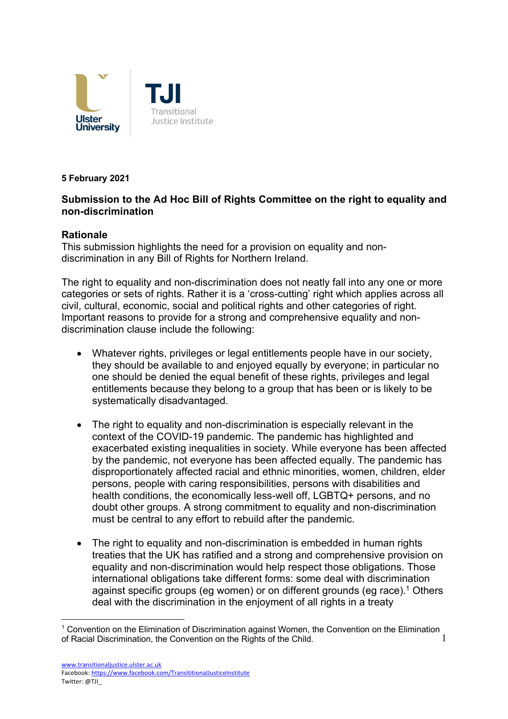

#### **5 February 2021**

# **Submission to the Ad Hoc Bill of Rights Committee on the right to equality and non-discrimination**

## **Rationale**

This submission highlights the need for a provision on equality and nondiscrimination in any Bill of Rights for Northern Ireland.

The right to equality and non-discrimination does not neatly fall into any one or more categories or sets of rights. Rather it is a 'cross-cutting' right which applies across all civil, cultural, economic, social and political rights and other categories of right. Important reasons to provide for a strong and comprehensive equality and nondiscrimination clause include the following:

- Whatever rights, privileges or legal entitlements people have in our society, they should be available to and enjoyed equally by everyone; in particular no one should be denied the equal benefit of these rights, privileges and legal entitlements because they belong to a group that has been or is likely to be systematically disadvantaged.
- The right to equality and non-discrimination is especially relevant in the context of the COVID-19 pandemic. The pandemic has highlighted and exacerbated existing inequalities in society. While everyone has been affected by the pandemic, not everyone has been affected equally. The pandemic has disproportionately affected racial and ethnic minorities, women, children, elder persons, people with caring responsibilities, persons with disabilities and health conditions, the economically less-well off, LGBTQ+ persons, and no doubt other groups. A strong commitment to equality and non-discrimination must be central to any effort to rebuild after the pandemic.
- The right to equality and non-discrimination is embedded in human rights treaties that the UK has ratified and a strong and comprehensive provision on equality and non-discrimination would help respect those obligations. Those international obligations take different forms: some deal with discrimination against specific groups (eg women) or on different grounds (eg race).<sup>1</sup> Others deal with the discrimination in the enjoyment of all rights in a treaty

<sup>1</sup> <sup>1</sup> Convention on the Elimination of Discrimination against Women, the Convention on the Elimination of Racial Discrimination, the Convention on the Rights of the Child.

www.transitionaljustice.ulster.ac.uk Facebook: https://www.facebook.com/TransititionalJusticeInstitute Twitter: @TJI\_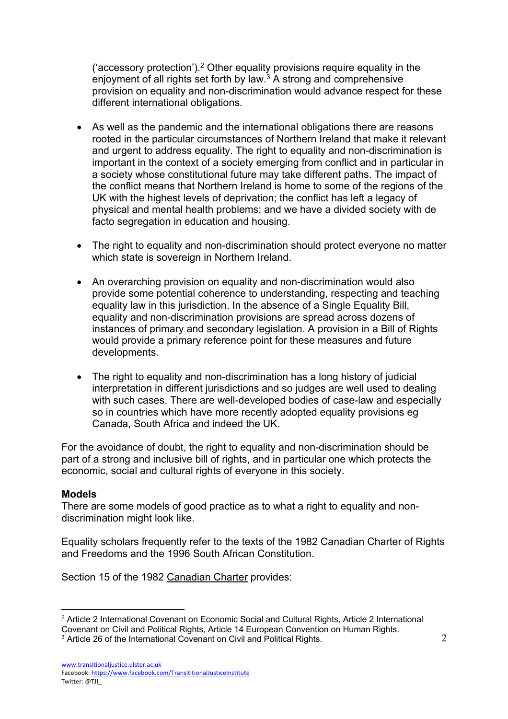('accessory protection').2 Other equality provisions require equality in the enjoyment of all rights set forth by law. $3$  A strong and comprehensive provision on equality and non-discrimination would advance respect for these different international obligations.

- As well as the pandemic and the international obligations there are reasons rooted in the particular circumstances of Northern Ireland that make it relevant and urgent to address equality. The right to equality and non-discrimination is important in the context of a society emerging from conflict and in particular in a society whose constitutional future may take different paths. The impact of the conflict means that Northern Ireland is home to some of the regions of the UK with the highest levels of deprivation; the conflict has left a legacy of physical and mental health problems; and we have a divided society with de facto segregation in education and housing.
- The right to equality and non-discrimination should protect everyone no matter which state is sovereign in Northern Ireland.
- An overarching provision on equality and non-discrimination would also provide some potential coherence to understanding, respecting and teaching equality law in this jurisdiction. In the absence of a Single Equality Bill, equality and non-discrimination provisions are spread across dozens of instances of primary and secondary legislation. A provision in a Bill of Rights would provide a primary reference point for these measures and future developments.
- The right to equality and non-discrimination has a long history of judicial interpretation in different jurisdictions and so judges are well used to dealing with such cases. There are well-developed bodies of case-law and especially so in countries which have more recently adopted equality provisions eg Canada, South Africa and indeed the UK.

For the avoidance of doubt, the right to equality and non-discrimination should be part of a strong and inclusive bill of rights, and in particular one which protects the economic, social and cultural rights of everyone in this society.

## **Models**

There are some models of good practice as to what a right to equality and nondiscrimination might look like.

Equality scholars frequently refer to the texts of the 1982 Canadian Charter of Rights and Freedoms and the 1996 South African Constitution.

Section 15 of the 1982 Canadian Charter provides:

Facebook: https://www.facebook.com/TransititionalJusticeInstitute Twitter: @TJI\_

<sup>&</sup>lt;sup>2</sup> Article 2 International Covenant on Economic Social and Cultural Rights, Article 2 International Covenant on Civil and Political Rights, Article 14 European Convention on Human Rights.

<sup>&</sup>lt;sup>3</sup> Article 26 of the International Covenant on Civil and Political Rights.

www.transitionaljustice.ulster.ac.uk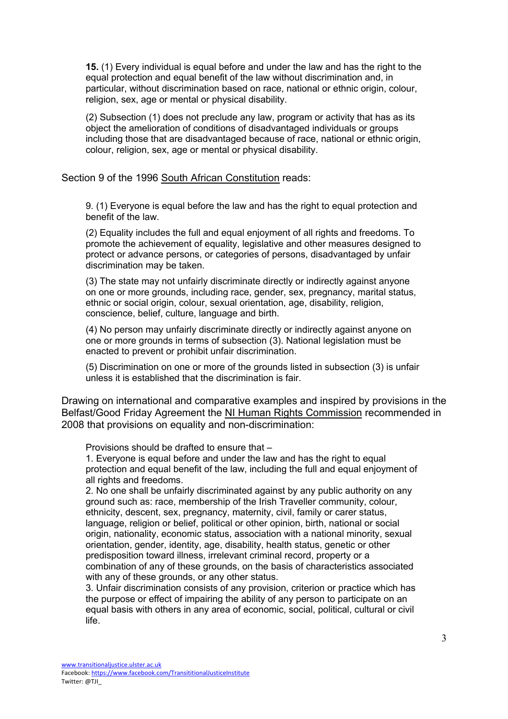**15.** (1) Every individual is equal before and under the law and has the right to the equal protection and equal benefit of the law without discrimination and, in particular, without discrimination based on race, national or ethnic origin, colour, religion, sex, age or mental or physical disability.

(2) Subsection (1) does not preclude any law, program or activity that has as its object the amelioration of conditions of disadvantaged individuals or groups including those that are disadvantaged because of race, national or ethnic origin, colour, religion, sex, age or mental or physical disability.

Section 9 of the 1996 South African Constitution reads:

9. (1) Everyone is equal before the law and has the right to equal protection and benefit of the law.

(2) Equality includes the full and equal enjoyment of all rights and freedoms. To promote the achievement of equality, legislative and other measures designed to protect or advance persons, or categories of persons, disadvantaged by unfair discrimination may be taken.

(3) The state may not unfairly discriminate directly or indirectly against anyone on one or more grounds, including race, gender, sex, pregnancy, marital status, ethnic or social origin, colour, sexual orientation, age, disability, religion, conscience, belief, culture, language and birth.

(4) No person may unfairly discriminate directly or indirectly against anyone on one or more grounds in terms of subsection (3). National legislation must be enacted to prevent or prohibit unfair discrimination.

(5) Discrimination on one or more of the grounds listed in subsection (3) is unfair unless it is established that the discrimination is fair.

Drawing on international and comparative examples and inspired by provisions in the Belfast/Good Friday Agreement the NI Human Rights Commission recommended in 2008 that provisions on equality and non-discrimination:

Provisions should be drafted to ensure that –

1. Everyone is equal before and under the law and has the right to equal protection and equal benefit of the law, including the full and equal enjoyment of all rights and freedoms.

2. No one shall be unfairly discriminated against by any public authority on any ground such as: race, membership of the Irish Traveller community, colour, ethnicity, descent, sex, pregnancy, maternity, civil, family or carer status, language, religion or belief, political or other opinion, birth, national or social origin, nationality, economic status, association with a national minority, sexual orientation, gender, identity, age, disability, health status, genetic or other predisposition toward illness, irrelevant criminal record, property or a combination of any of these grounds, on the basis of characteristics associated with any of these grounds, or any other status.

3. Unfair discrimination consists of any provision, criterion or practice which has the purpose or effect of impairing the ability of any person to participate on an equal basis with others in any area of economic, social, political, cultural or civil life.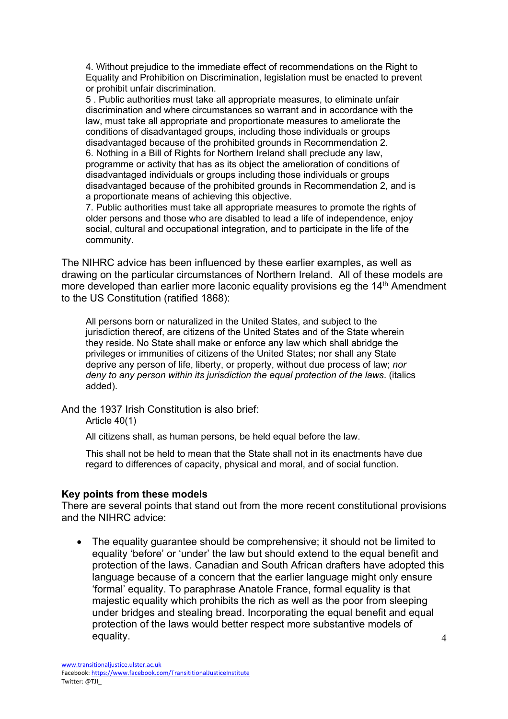4. Without prejudice to the immediate effect of recommendations on the Right to Equality and Prohibition on Discrimination, legislation must be enacted to prevent or prohibit unfair discrimination.

5 . Public authorities must take all appropriate measures, to eliminate unfair discrimination and where circumstances so warrant and in accordance with the law, must take all appropriate and proportionate measures to ameliorate the conditions of disadvantaged groups, including those individuals or groups disadvantaged because of the prohibited grounds in Recommendation 2. 6. Nothing in a Bill of Rights for Northern Ireland shall preclude any law, programme or activity that has as its object the amelioration of conditions of disadvantaged individuals or groups including those individuals or groups disadvantaged because of the prohibited grounds in Recommendation 2, and is a proportionate means of achieving this objective.

7. Public authorities must take all appropriate measures to promote the rights of older persons and those who are disabled to lead a life of independence, enjoy social, cultural and occupational integration, and to participate in the life of the community.

The NIHRC advice has been influenced by these earlier examples, as well as drawing on the particular circumstances of Northern Ireland. All of these models are more developed than earlier more laconic equality provisions eq the 14<sup>th</sup> Amendment to the US Constitution (ratified 1868):

All persons born or naturalized in the United States, and subject to the jurisdiction thereof, are citizens of the United States and of the State wherein they reside. No State shall make or enforce any law which shall abridge the privileges or immunities of citizens of the United States; nor shall any State deprive any person of life, liberty, or property, without due process of law; *nor deny to any person within its jurisdiction the equal protection of the laws*. (italics added).

And the 1937 Irish Constitution is also brief:

Article 40(1)

All citizens shall, as human persons, be held equal before the law.

This shall not be held to mean that the State shall not in its enactments have due regard to differences of capacity, physical and moral, and of social function.

#### **Key points from these models**

There are several points that stand out from the more recent constitutional provisions and the NIHRC advice:

• The equality guarantee should be comprehensive; it should not be limited to equality 'before' or 'under' the law but should extend to the equal benefit and protection of the laws. Canadian and South African drafters have adopted this language because of a concern that the earlier language might only ensure 'formal' equality. To paraphrase Anatole France, formal equality is that majestic equality which prohibits the rich as well as the poor from sleeping under bridges and stealing bread. Incorporating the equal benefit and equal protection of the laws would better respect more substantive models of equality.